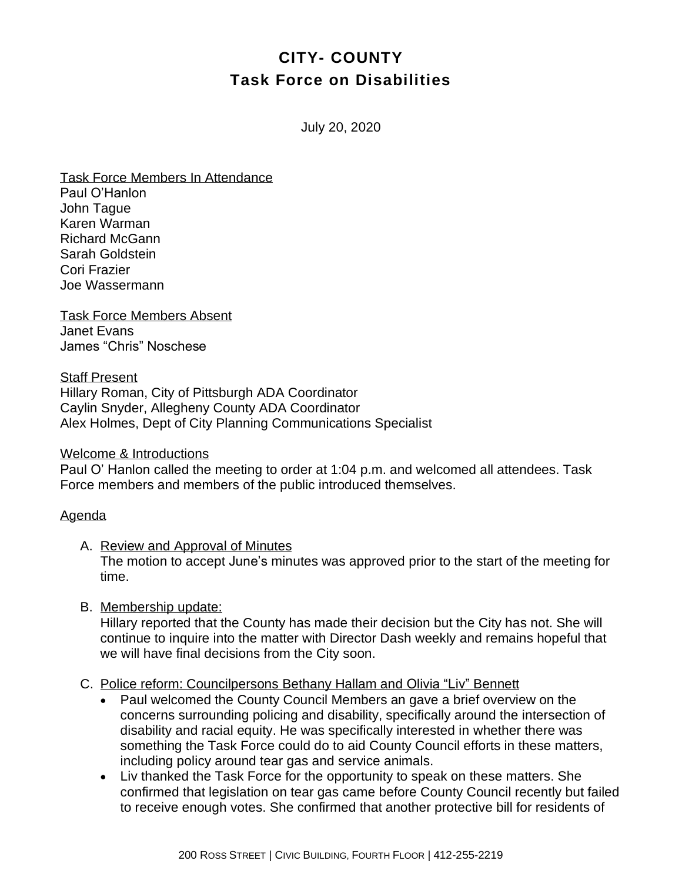# **CITY- COUNTY Task Force on Disabilities**

July 20, 2020

Task Force Members In Attendance Paul O'Hanlon John Tague Karen Warman Richard McGann Sarah Goldstein Cori Frazier Joe Wassermann

Task Force Members Absent Janet Evans James "Chris" Noschese

Staff Present Hillary Roman, City of Pittsburgh ADA Coordinator Caylin Snyder, Allegheny County ADA Coordinator Alex Holmes, Dept of City Planning Communications Specialist

#### Welcome & Introductions

Paul O' Hanlon called the meeting to order at 1:04 p.m. and welcomed all attendees. Task Force members and members of the public introduced themselves.

### Agenda

A. Review and Approval of Minutes The motion to accept June's minutes was approved prior to the start of the meeting for time.

## B. Membership update:

Hillary reported that the County has made their decision but the City has not. She will continue to inquire into the matter with Director Dash weekly and remains hopeful that we will have final decisions from the City soon.

### C. Police reform: Councilpersons Bethany Hallam and Olivia "Liv" Bennett

- Paul welcomed the County Council Members an gave a brief overview on the concerns surrounding policing and disability, specifically around the intersection of disability and racial equity. He was specifically interested in whether there was something the Task Force could do to aid County Council efforts in these matters, including policy around tear gas and service animals.
- Liv thanked the Task Force for the opportunity to speak on these matters. She confirmed that legislation on tear gas came before County Council recently but failed to receive enough votes. She confirmed that another protective bill for residents of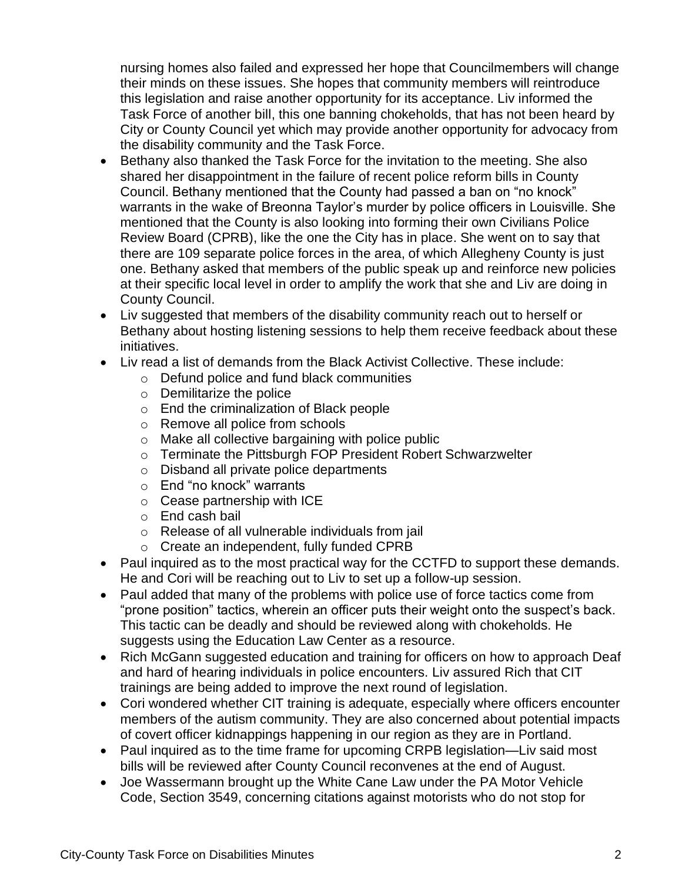nursing homes also failed and expressed her hope that Councilmembers will change their minds on these issues. She hopes that community members will reintroduce this legislation and raise another opportunity for its acceptance. Liv informed the Task Force of another bill, this one banning chokeholds, that has not been heard by City or County Council yet which may provide another opportunity for advocacy from the disability community and the Task Force.

- Bethany also thanked the Task Force for the invitation to the meeting. She also shared her disappointment in the failure of recent police reform bills in County Council. Bethany mentioned that the County had passed a ban on "no knock" warrants in the wake of Breonna Taylor's murder by police officers in Louisville. She mentioned that the County is also looking into forming their own Civilians Police Review Board (CPRB), like the one the City has in place. She went on to say that there are 109 separate police forces in the area, of which Allegheny County is just one. Bethany asked that members of the public speak up and reinforce new policies at their specific local level in order to amplify the work that she and Liv are doing in County Council.
- Liv suggested that members of the disability community reach out to herself or Bethany about hosting listening sessions to help them receive feedback about these initiatives.
- Liv read a list of demands from the Black Activist Collective. These include:
	- o Defund police and fund black communities
	- o Demilitarize the police
	- o End the criminalization of Black people
	- o Remove all police from schools
	- o Make all collective bargaining with police public
	- o Terminate the Pittsburgh FOP President Robert Schwarzwelter
	- o Disband all private police departments
	- o End "no knock" warrants
	- o Cease partnership with ICE
	- o End cash bail
	- o Release of all vulnerable individuals from jail
	- o Create an independent, fully funded CPRB
- Paul inquired as to the most practical way for the CCTFD to support these demands. He and Cori will be reaching out to Liv to set up a follow-up session.
- Paul added that many of the problems with police use of force tactics come from "prone position" tactics, wherein an officer puts their weight onto the suspect's back. This tactic can be deadly and should be reviewed along with chokeholds. He suggests using the Education Law Center as a resource.
- Rich McGann suggested education and training for officers on how to approach Deaf and hard of hearing individuals in police encounters. Liv assured Rich that CIT trainings are being added to improve the next round of legislation.
- Cori wondered whether CIT training is adequate, especially where officers encounter members of the autism community. They are also concerned about potential impacts of covert officer kidnappings happening in our region as they are in Portland.
- Paul inquired as to the time frame for upcoming CRPB legislation—Liv said most bills will be reviewed after County Council reconvenes at the end of August.
- Joe Wassermann brought up the White Cane Law under the PA Motor Vehicle Code, Section 3549, concerning citations against motorists who do not stop for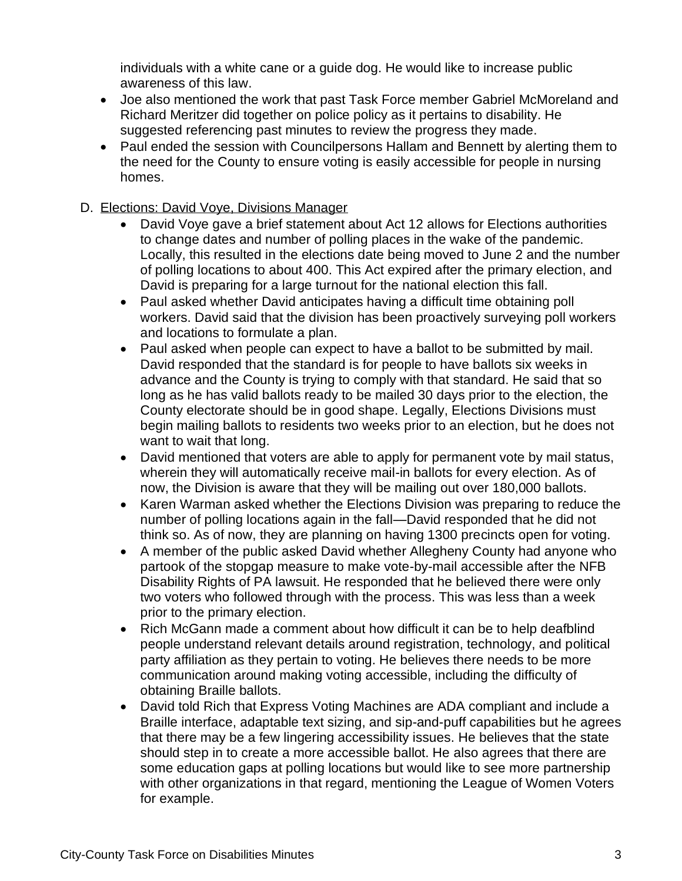individuals with a white cane or a guide dog. He would like to increase public awareness of this law.

- Joe also mentioned the work that past Task Force member Gabriel McMoreland and Richard Meritzer did together on police policy as it pertains to disability. He suggested referencing past minutes to review the progress they made.
- Paul ended the session with Councilpersons Hallam and Bennett by alerting them to the need for the County to ensure voting is easily accessible for people in nursing homes.
- D. Elections: David Voye, Divisions Manager
	- David Voye gave a brief statement about Act 12 allows for Elections authorities to change dates and number of polling places in the wake of the pandemic. Locally, this resulted in the elections date being moved to June 2 and the number of polling locations to about 400. This Act expired after the primary election, and David is preparing for a large turnout for the national election this fall.
	- Paul asked whether David anticipates having a difficult time obtaining poll workers. David said that the division has been proactively surveying poll workers and locations to formulate a plan.
	- Paul asked when people can expect to have a ballot to be submitted by mail. David responded that the standard is for people to have ballots six weeks in advance and the County is trying to comply with that standard. He said that so long as he has valid ballots ready to be mailed 30 days prior to the election, the County electorate should be in good shape. Legally, Elections Divisions must begin mailing ballots to residents two weeks prior to an election, but he does not want to wait that long.
	- David mentioned that voters are able to apply for permanent vote by mail status, wherein they will automatically receive mail-in ballots for every election. As of now, the Division is aware that they will be mailing out over 180,000 ballots.
	- Karen Warman asked whether the Elections Division was preparing to reduce the number of polling locations again in the fall—David responded that he did not think so. As of now, they are planning on having 1300 precincts open for voting.
	- A member of the public asked David whether Allegheny County had anyone who partook of the stopgap measure to make vote-by-mail accessible after the NFB Disability Rights of PA lawsuit. He responded that he believed there were only two voters who followed through with the process. This was less than a week prior to the primary election.
	- Rich McGann made a comment about how difficult it can be to help deafblind people understand relevant details around registration, technology, and political party affiliation as they pertain to voting. He believes there needs to be more communication around making voting accessible, including the difficulty of obtaining Braille ballots.
	- David told Rich that Express Voting Machines are ADA compliant and include a Braille interface, adaptable text sizing, and sip-and-puff capabilities but he agrees that there may be a few lingering accessibility issues. He believes that the state should step in to create a more accessible ballot. He also agrees that there are some education gaps at polling locations but would like to see more partnership with other organizations in that regard, mentioning the League of Women Voters for example.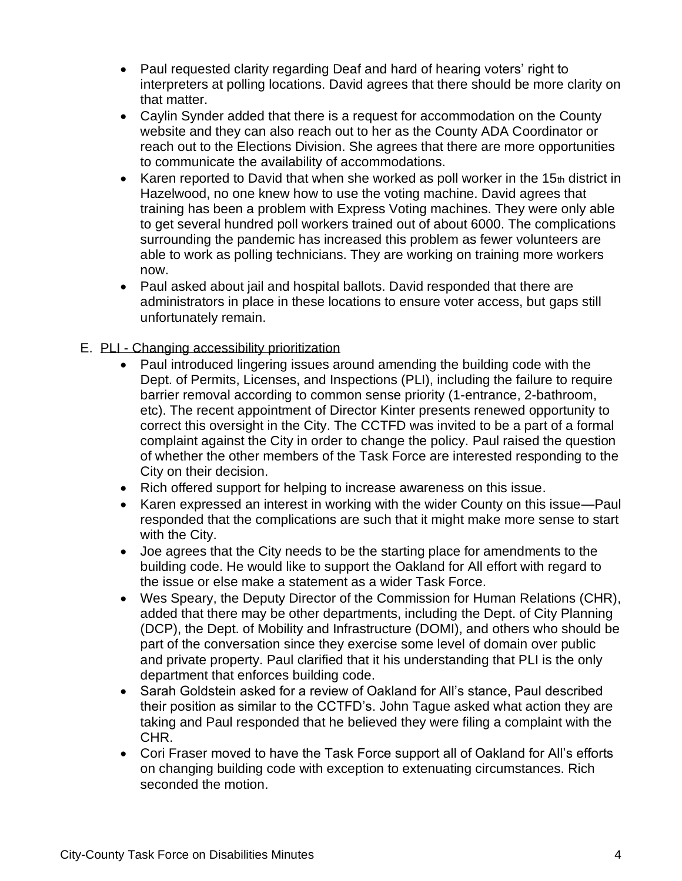- Paul requested clarity regarding Deaf and hard of hearing voters' right to interpreters at polling locations. David agrees that there should be more clarity on that matter.
- Caylin Synder added that there is a request for accommodation on the County website and they can also reach out to her as the County ADA Coordinator or reach out to the Elections Division. She agrees that there are more opportunities to communicate the availability of accommodations.
- Karen reported to David that when she worked as poll worker in the 15th district in Hazelwood, no one knew how to use the voting machine. David agrees that training has been a problem with Express Voting machines. They were only able to get several hundred poll workers trained out of about 6000. The complications surrounding the pandemic has increased this problem as fewer volunteers are able to work as polling technicians. They are working on training more workers now.
- Paul asked about jail and hospital ballots. David responded that there are administrators in place in these locations to ensure voter access, but gaps still unfortunately remain.
- E. PLI Changing accessibility prioritization
	- Paul introduced lingering issues around amending the building code with the Dept. of Permits, Licenses, and Inspections (PLI), including the failure to require barrier removal according to common sense priority (1-entrance, 2-bathroom, etc). The recent appointment of Director Kinter presents renewed opportunity to correct this oversight in the City. The CCTFD was invited to be a part of a formal complaint against the City in order to change the policy. Paul raised the question of whether the other members of the Task Force are interested responding to the City on their decision.
	- Rich offered support for helping to increase awareness on this issue.
	- Karen expressed an interest in working with the wider County on this issue—Paul responded that the complications are such that it might make more sense to start with the City.
	- Joe agrees that the City needs to be the starting place for amendments to the building code. He would like to support the Oakland for All effort with regard to the issue or else make a statement as a wider Task Force.
	- Wes Speary, the Deputy Director of the Commission for Human Relations (CHR), added that there may be other departments, including the Dept. of City Planning (DCP), the Dept. of Mobility and Infrastructure (DOMI), and others who should be part of the conversation since they exercise some level of domain over public and private property. Paul clarified that it his understanding that PLI is the only department that enforces building code.
	- Sarah Goldstein asked for a review of Oakland for All's stance, Paul described their position as similar to the CCTFD's. John Tague asked what action they are taking and Paul responded that he believed they were filing a complaint with the CHR.
	- Cori Fraser moved to have the Task Force support all of Oakland for All's efforts on changing building code with exception to extenuating circumstances. Rich seconded the motion.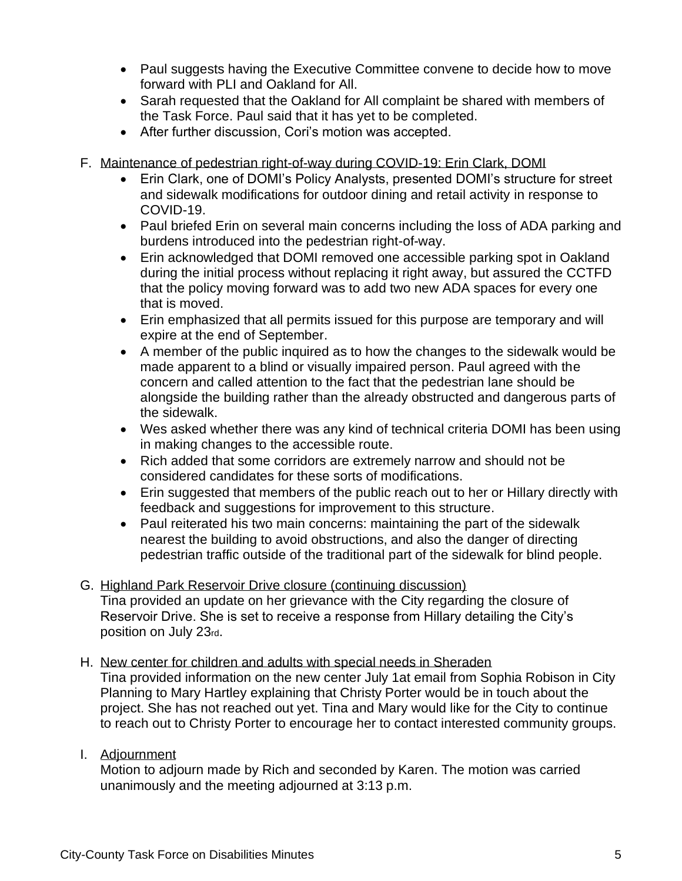- Paul suggests having the Executive Committee convene to decide how to move forward with PLI and Oakland for All.
- Sarah requested that the Oakland for All complaint be shared with members of the Task Force. Paul said that it has yet to be completed.
- After further discussion, Cori's motion was accepted.
- F. Maintenance of pedestrian right-of-way during COVID-19: Erin Clark, DOMI
	- Erin Clark, one of DOMI's Policy Analysts, presented DOMI's structure for street and sidewalk modifications for outdoor dining and retail activity in response to COVID-19.
	- Paul briefed Erin on several main concerns including the loss of ADA parking and burdens introduced into the pedestrian right-of-way.
	- Erin acknowledged that DOMI removed one accessible parking spot in Oakland during the initial process without replacing it right away, but assured the CCTFD that the policy moving forward was to add two new ADA spaces for every one that is moved.
	- Erin emphasized that all permits issued for this purpose are temporary and will expire at the end of September.
	- A member of the public inquired as to how the changes to the sidewalk would be made apparent to a blind or visually impaired person. Paul agreed with the concern and called attention to the fact that the pedestrian lane should be alongside the building rather than the already obstructed and dangerous parts of the sidewalk.
	- Wes asked whether there was any kind of technical criteria DOMI has been using in making changes to the accessible route.
	- Rich added that some corridors are extremely narrow and should not be considered candidates for these sorts of modifications.
	- Erin suggested that members of the public reach out to her or Hillary directly with feedback and suggestions for improvement to this structure.
	- Paul reiterated his two main concerns: maintaining the part of the sidewalk nearest the building to avoid obstructions, and also the danger of directing pedestrian traffic outside of the traditional part of the sidewalk for blind people.
- G. Highland Park Reservoir Drive closure (continuing discussion) Tina provided an update on her grievance with the City regarding the closure of Reservoir Drive. She is set to receive a response from Hillary detailing the City's position on July 23rd.
- H. New center for children and adults with special needs in Sheraden Tina provided information on the new center July 1at email from Sophia Robison in City Planning to Mary Hartley explaining that Christy Porter would be in touch about the project. She has not reached out yet. Tina and Mary would like for the City to continue to reach out to Christy Porter to encourage her to contact interested community groups.
- I. Adjournment

Motion to adjourn made by Rich and seconded by Karen. The motion was carried unanimously and the meeting adjourned at 3:13 p.m.